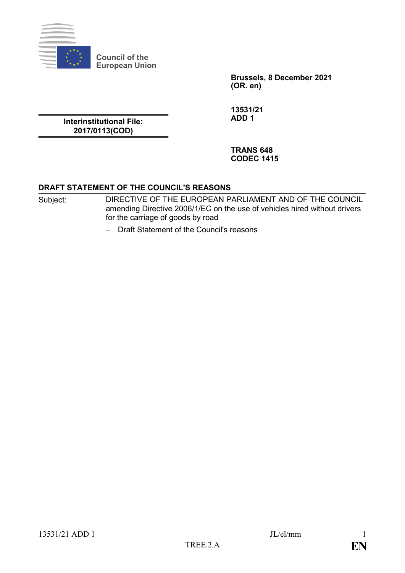

**Council of the European Union**

> **Brussels, 8 December 2021 (OR. en)**

**Interinstitutional File: 2017/0113(COD)**

**13531/21 ADD 1**

**TRANS 648 CODEC 1415**

## **DRAFT STATEMENT OF THE COUNCIL'S REASONS**

- Subject: DIRECTIVE OF THE EUROPEAN PARLIAMENT AND OF THE COUNCIL amending Directive 2006/1/EC on the use of vehicles hired without drivers for the carriage of goods by road
	- ‒ Draft Statement of the Council's reasons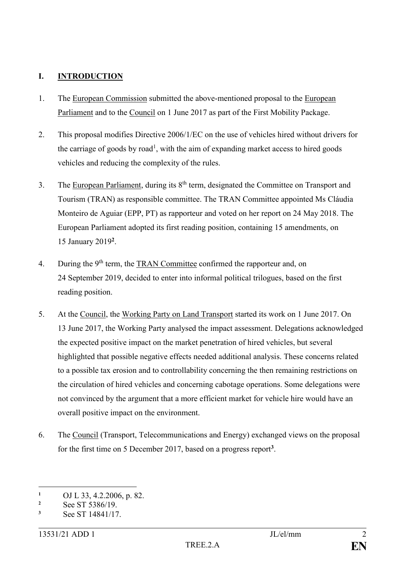# **I. INTRODUCTION**

- 1. The European Commission submitted the above-mentioned proposal to the European Parliament and to the Council on 1 June 2017 as part of the First Mobility Package.
- 2. This proposal modifies Directive 2006/1/EC on the use of vehicles hired without drivers for the carriage of goods by road<sup>1</sup>, with the aim of expanding market access to hired goods vehicles and reducing the complexity of the rules.
- 3. The European Parliament, during its  $8<sup>th</sup>$  term, designated the Committee on Transport and Tourism (TRAN) as responsible committee. The TRAN Committee appointed Ms Cláudia Monteiro de Aguiar (EPP, PT) as rapporteur and voted on her report on 24 May 2018. The European Parliament adopted its first reading position, containing 15 amendments, on 15 January 2019**<sup>2</sup>** .
- 4. During the 9<sup>th</sup> term, the TRAN Committee confirmed the rapporteur and, on 24 September 2019, decided to enter into informal political trilogues, based on the first reading position.
- 5. At the Council, the Working Party on Land Transport started its work on 1 June 2017. On 13 June 2017, the Working Party analysed the impact assessment. Delegations acknowledged the expected positive impact on the market penetration of hired vehicles, but several highlighted that possible negative effects needed additional analysis. These concerns related to a possible tax erosion and to controllability concerning the then remaining restrictions on the circulation of hired vehicles and concerning cabotage operations. Some delegations were not convinced by the argument that a more efficient market for vehicle hire would have an overall positive impact on the environment.
- 6. The Council (Transport, Telecommunications and Energy) exchanged views on the proposal for the first time on 5 December 2017, based on a progress report**<sup>3</sup>** .

<sup>1</sup> <sup>1</sup> OJ L 33, 4.2.2006, p. 82.<br> **2** See ST 5386/19

<sup>&</sup>lt;sup>2</sup> See ST 5386/19.

**<sup>3</sup>** See ST 14841/17.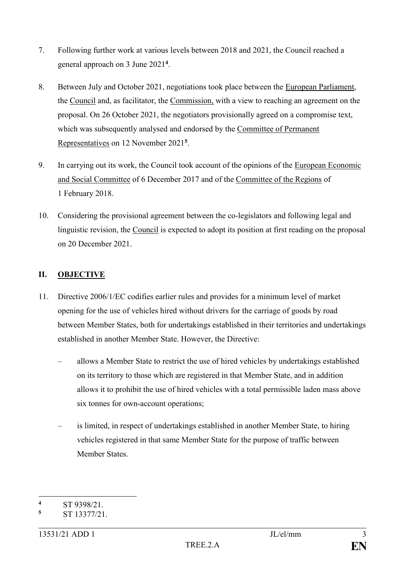- 7. Following further work at various levels between 2018 and 2021, the Council reached a general approach on 3 June 2021**<sup>4</sup>** .
- 8. Between July and October 2021, negotiations took place between the European Parliament, the Council and, as facilitator, the Commission, with a view to reaching an agreement on the proposal. On 26 October 2021, the negotiators provisionally agreed on a compromise text, which was subsequently analysed and endorsed by the Committee of Permanent Representatives on 12 November 2021**<sup>5</sup>** .
- 9. In carrying out its work, the Council took account of the opinions of the European Economic and Social Committee of 6 December 2017 and of the Committee of the Regions of 1 February 2018.
- 10. Considering the provisional agreement between the co-legislators and following legal and linguistic revision, the Council is expected to adopt its position at first reading on the proposal on 20 December 2021.

# **II. OBJECTIVE**

- 11. Directive 2006/1/EC codifies earlier rules and provides for a minimum level of market opening for the use of vehicles hired without drivers for the carriage of goods by road between Member States, both for undertakings established in their territories and undertakings established in another Member State. However, the Directive:
	- allows a Member State to restrict the use of hired vehicles by undertakings established on its territory to those which are registered in that Member State, and in addition allows it to prohibit the use of hired vehicles with a total permissible laden mass above six tonnes for own-account operations;
	- is limited, in respect of undertakings established in another Member State, to hiring vehicles registered in that same Member State for the purpose of traffic between Member States.

<sup>1</sup> **<sup>4</sup>** ST 9398/21.

**<sup>5</sup>** ST 13377/21.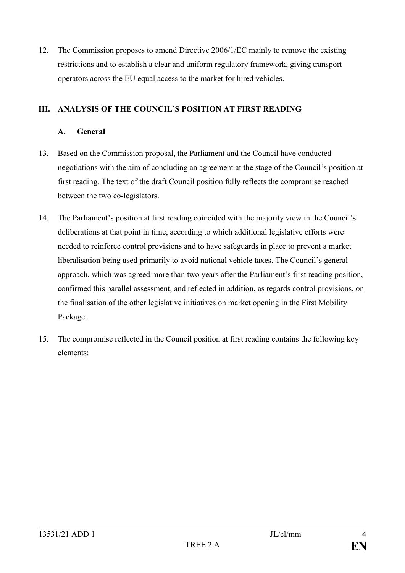12. The Commission proposes to amend Directive 2006/1/EC mainly to remove the existing restrictions and to establish a clear and uniform regulatory framework, giving transport operators across the EU equal access to the market for hired vehicles.

# **III.** ANALYSIS OF THE COUNCIL'S POSITION AT FIRST READING

## **A. General**

- 13. Based on the Commission proposal, the Parliament and the Council have conducted negotiations with the aim of concluding an agreement at the stage of the Council's position at first reading. The text of the draft Council position fully reflects the compromise reached between the two co-legislators.
- 14. The Parliament's position at first reading coincided with the majority view in the Council's deliberations at that point in time, according to which additional legislative efforts were needed to reinforce control provisions and to have safeguards in place to prevent a market liberalisation being used primarily to avoid national vehicle taxes. The Council's general approach, which was agreed more than two years after the Parliament's first reading position, confirmed this parallel assessment, and reflected in addition, as regards control provisions, on the finalisation of the other legislative initiatives on market opening in the First Mobility Package.
- 15. The compromise reflected in the Council position at first reading contains the following key elements: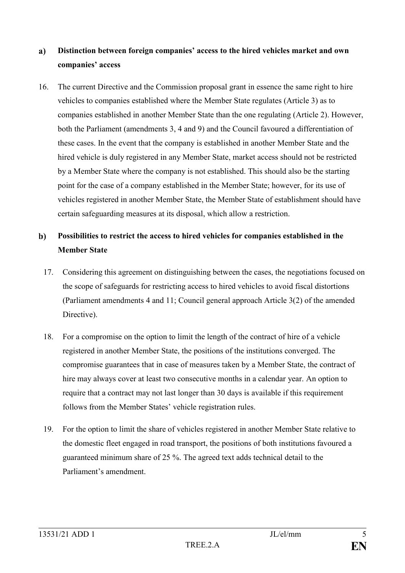### **Distinction between foreign companies' access to the hired vehicles market and own**   $a)$ **companies' access**

16. The current Directive and the Commission proposal grant in essence the same right to hire vehicles to companies established where the Member State regulates (Article 3) as to companies established in another Member State than the one regulating (Article 2). However, both the Parliament (amendments 3, 4 and 9) and the Council favoured a differentiation of these cases. In the event that the company is established in another Member State and the hired vehicle is duly registered in any Member State, market access should not be restricted by a Member State where the company is not established. This should also be the starting point for the case of a company established in the Member State; however, for its use of vehicles registered in another Member State, the Member State of establishment should have certain safeguarding measures at its disposal, which allow a restriction.

### $\mathbf{b}$ **Possibilities to restrict the access to hired vehicles for companies established in the Member State**

- 17. Considering this agreement on distinguishing between the cases, the negotiations focused on the scope of safeguards for restricting access to hired vehicles to avoid fiscal distortions (Parliament amendments 4 and 11; Council general approach Article 3(2) of the amended Directive).
- 18. For a compromise on the option to limit the length of the contract of hire of a vehicle registered in another Member State, the positions of the institutions converged. The compromise guarantees that in case of measures taken by a Member State, the contract of hire may always cover at least two consecutive months in a calendar year. An option to require that a contract may not last longer than 30 days is available if this requirement follows from the Member States' vehicle registration rules.
- 19. For the option to limit the share of vehicles registered in another Member State relative to the domestic fleet engaged in road transport, the positions of both institutions favoured a guaranteed minimum share of 25 %. The agreed text adds technical detail to the Parliament's amendment.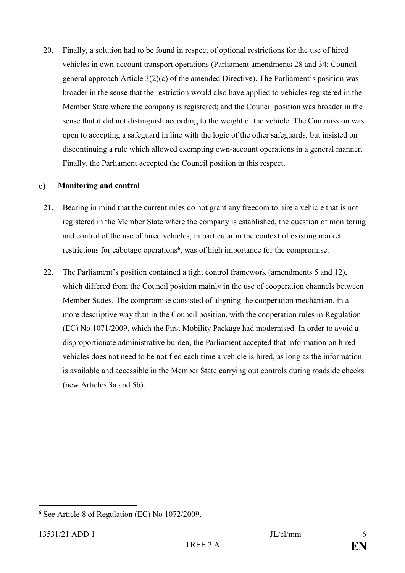20. Finally, a solution had to be found in respect of optional restrictions for the use of hired vehicles in own-account transport operations (Parliament amendments 28 and 34; Council general approach Article 3(2)(c) of the amended Directive). The Parliament's position was broader in the sense that the restriction would also have applied to vehicles registered in the Member State where the company is registered; and the Council position was broader in the sense that it did not distinguish according to the weight of the vehicle. The Commission was open to accepting a safeguard in line with the logic of the other safeguards, but insisted on discontinuing a rule which allowed exempting own-account operations in a general manner. Finally, the Parliament accepted the Council position in this respect.

#### $\mathbf{c}$ **Monitoring and control**

- 21. Bearing in mind that the current rules do not grant any freedom to hire a vehicle that is not registered in the Member State where the company is established, the question of monitoring and control of the use of hired vehicles, in particular in the context of existing market restrictions for cabotage operations**<sup>6</sup>** , was of high importance for the compromise.
- 22. The Parliament's position contained a tight control framework (amendments 5 and 12), which differed from the Council position mainly in the use of cooperation channels between Member States. The compromise consisted of aligning the cooperation mechanism, in a more descriptive way than in the Council position, with the cooperation rules in Regulation (EC) No 1071/2009, which the First Mobility Package had modernised. In order to avoid a disproportionate administrative burden, the Parliament accepted that information on hired vehicles does not need to be notified each time a vehicle is hired, as long as the information is available and accessible in the Member State carrying out controls during roadside checks (new Articles 3a and 5b).

<sup>&</sup>lt;u>.</u> **<sup>6</sup>** See Article 8 of Regulation (EC) No 1072/2009.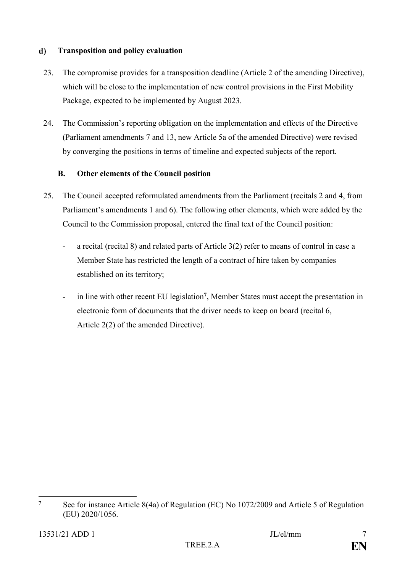#### **Transposition and policy evaluation**  $\mathbf{d}$

- 23. The compromise provides for a transposition deadline (Article 2 of the amending Directive), which will be close to the implementation of new control provisions in the First Mobility Package, expected to be implemented by August 2023.
- 24. The Commission's reporting obligation on the implementation and effects of the Directive (Parliament amendments 7 and 13, new Article 5a of the amended Directive) were revised by converging the positions in terms of timeline and expected subjects of the report.

# **B. Other elements of the Council position**

- 25. The Council accepted reformulated amendments from the Parliament (recitals 2 and 4, from Parliament's amendments 1 and 6). The following other elements, which were added by the Council to the Commission proposal, entered the final text of the Council position:
	- a recital (recital 8) and related parts of Article 3(2) refer to means of control in case a Member State has restricted the length of a contract of hire taken by companies established on its territory;
	- in line with other recent EU legislation**<sup>7</sup>** , Member States must accept the presentation in electronic form of documents that the driver needs to keep on board (recital 6, Article 2(2) of the amended Directive).

 $\overline{7}$ **<sup>7</sup>** See for instance Article 8(4a) of Regulation (EC) No 1072/2009 and Article 5 of Regulation (EU) 2020/1056.